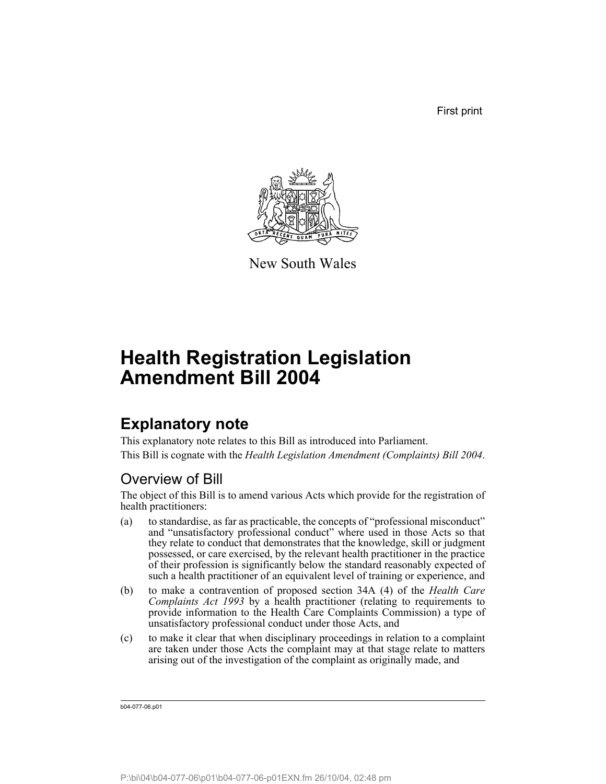First print



New South Wales

# **Health Registration Legislation Amendment Bill 2004**

# **Explanatory note**

This explanatory note relates to this Bill as introduced into Parliament. This Bill is cognate with the *Health Legislation Amendment (Complaints) Bill 2004*.

### Overview of Bill

The object of this Bill is to amend various Acts which provide for the registration of health practitioners:

- (a) to standardise, as far as practicable, the concepts of "professional misconduct" and "unsatisfactory professional conduct" where used in those Acts so that they relate to conduct that demonstrates that the knowledge, skill or judgment possessed, or care exercised, by the relevant health practitioner in the practice of their profession is significantly below the standard reasonably expected of such a health practitioner of an equivalent level of training or experience, and
- (b) to make a contravention of proposed section 34A (4) of the *Health Care Complaints Act 1993* by a health practitioner (relating to requirements to provide information to the Health Care Complaints Commission) a type of unsatisfactory professional conduct under those Acts, and
- (c) to make it clear that when disciplinary proceedings in relation to a complaint are taken under those Acts the complaint may at that stage relate to matters arising out of the investigation of the complaint as originally made, and

b04-077-06.p01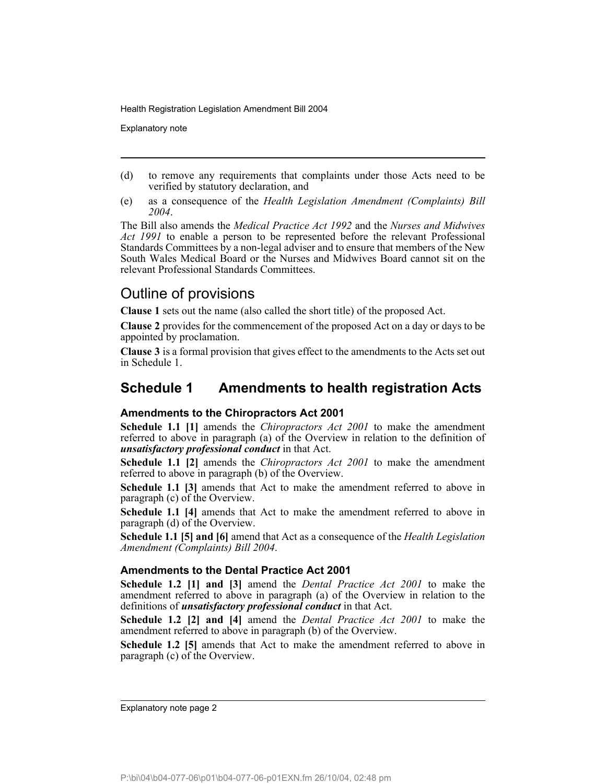Explanatory note

- (d) to remove any requirements that complaints under those Acts need to be verified by statutory declaration, and
- (e) as a consequence of the *Health Legislation Amendment (Complaints) Bill 2004*.

The Bill also amends the *Medical Practice Act 1992* and the *Nurses and Midwives Act 1991* to enable a person to be represented before the relevant Professional Standards Committees by a non-legal adviser and to ensure that members of the New South Wales Medical Board or the Nurses and Midwives Board cannot sit on the relevant Professional Standards Committees.

### Outline of provisions

**Clause 1** sets out the name (also called the short title) of the proposed Act.

**Clause 2** provides for the commencement of the proposed Act on a day or days to be appointed by proclamation.

**Clause 3** is a formal provision that gives effect to the amendments to the Acts set out in Schedule 1.

### **Schedule 1 Amendments to health registration Acts**

### **Amendments to the Chiropractors Act 2001**

**Schedule 1.1 [1]** amends the *Chiropractors Act 2001* to make the amendment referred to above in paragraph (a) of the Overview in relation to the definition of *unsatisfactory professional conduct* in that Act.

**Schedule 1.1 [2]** amends the *Chiropractors Act 2001* to make the amendment referred to above in paragraph (b) of the Overview.

**Schedule 1.1 [3]** amends that Act to make the amendment referred to above in paragraph (c) of the Overview.

**Schedule 1.1 [4]** amends that Act to make the amendment referred to above in paragraph (d) of the Overview.

**Schedule 1.1 [5] and [6]** amend that Act as a consequence of the *Health Legislation Amendment (Complaints) Bill 2004*.

#### **Amendments to the Dental Practice Act 2001**

**Schedule 1.2 [1] and [3]** amend the *Dental Practice Act 2001* to make the amendment referred to above in paragraph (a) of the Overview in relation to the definitions of *unsatisfactory professional conduct* in that Act.

**Schedule 1.2 [2] and [4]** amend the *Dental Practice Act 2001* to make the amendment referred to above in paragraph (b) of the Overview.

**Schedule 1.2 [5]** amends that Act to make the amendment referred to above in paragraph (c) of the Overview.

Explanatory note page 2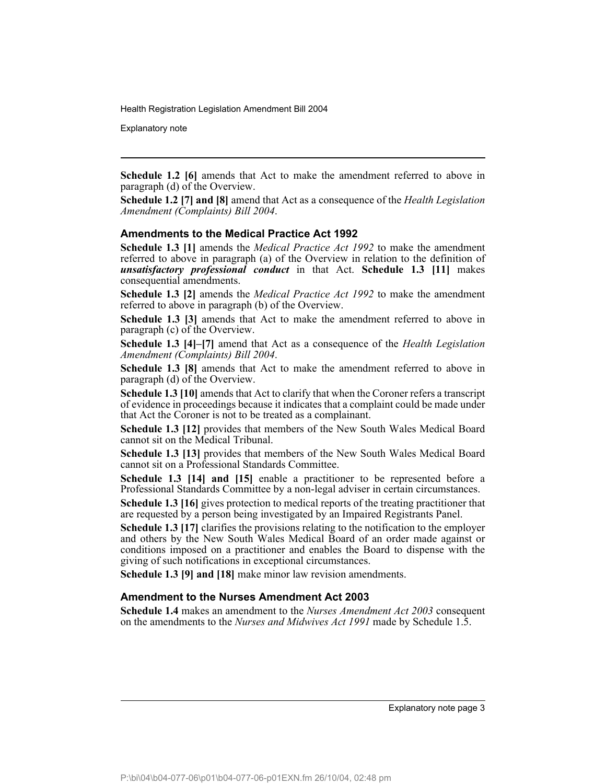Explanatory note

**Schedule 1.2 [6]** amends that Act to make the amendment referred to above in paragraph (d) of the Overview.

**Schedule 1.2 [7] and [8]** amend that Act as a consequence of the *Health Legislation Amendment (Complaints) Bill 2004*.

#### **Amendments to the Medical Practice Act 1992**

**Schedule 1.3 [1]** amends the *Medical Practice Act 1992* to make the amendment referred to above in paragraph (a) of the Overview in relation to the definition of *unsatisfactory professional conduct* in that Act. **Schedule 1.3 [11]** makes consequential amendments.

**Schedule 1.3 [2]** amends the *Medical Practice Act 1992* to make the amendment referred to above in paragraph (b) of the Overview.

**Schedule 1.3 [3]** amends that Act to make the amendment referred to above in paragraph (c) of the Overview.

**Schedule 1.3 [4]–[7]** amend that Act as a consequence of the *Health Legislation Amendment (Complaints) Bill 2004*.

**Schedule 1.3 [8]** amends that Act to make the amendment referred to above in paragraph (d) of the Overview.

**Schedule 1.3 [10]** amends that Act to clarify that when the Coroner refers a transcript of evidence in proceedings because it indicates that a complaint could be made under that Act the Coroner is not to be treated as a complainant.

**Schedule 1.3 [12]** provides that members of the New South Wales Medical Board cannot sit on the Medical Tribunal.

**Schedule 1.3 [13]** provides that members of the New South Wales Medical Board cannot sit on a Professional Standards Committee.

**Schedule 1.3 [14] and [15]** enable a practitioner to be represented before a Professional Standards Committee by a non-legal adviser in certain circumstances.

**Schedule 1.3 [16]** gives protection to medical reports of the treating practitioner that are requested by a person being investigated by an Impaired Registrants Panel.

**Schedule 1.3 [17]** clarifies the provisions relating to the notification to the employer and others by the New South Wales Medical Board of an order made against or conditions imposed on a practitioner and enables the Board to dispense with the giving of such notifications in exceptional circumstances.

**Schedule 1.3 [9] and [18]** make minor law revision amendments.

#### **Amendment to the Nurses Amendment Act 2003**

**Schedule 1.4** makes an amendment to the *Nurses Amendment Act 2003* consequent on the amendments to the *Nurses and Midwives Act 1991* made by Schedule 1.5.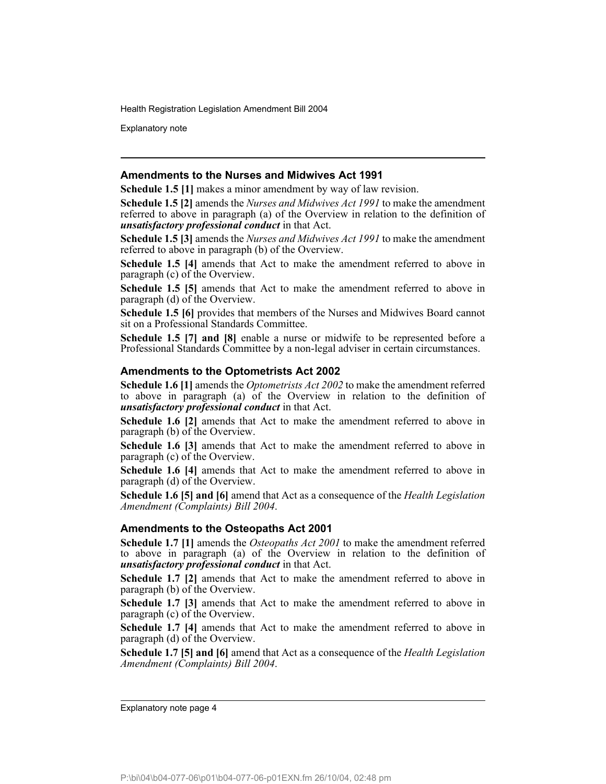Explanatory note

#### **Amendments to the Nurses and Midwives Act 1991**

**Schedule 1.5 [1]** makes a minor amendment by way of law revision.

**Schedule 1.5 [2]** amends the *Nurses and Midwives Act 1991* to make the amendment referred to above in paragraph (a) of the Overview in relation to the definition of *unsatisfactory professional conduct* in that Act.

**Schedule 1.5 [3]** amends the *Nurses and Midwives Act 1991* to make the amendment referred to above in paragraph (b) of the Overview.

**Schedule 1.5 [4]** amends that Act to make the amendment referred to above in paragraph (c) of the Overview.

**Schedule 1.5 [5]** amends that Act to make the amendment referred to above in paragraph (d) of the Overview.

**Schedule 1.5 [6]** provides that members of the Nurses and Midwives Board cannot sit on a Professional Standards Committee.

**Schedule 1.5 [7] and [8]** enable a nurse or midwife to be represented before a Professional Standards Committee by a non-legal adviser in certain circumstances.

#### **Amendments to the Optometrists Act 2002**

**Schedule 1.6 [1]** amends the *Optometrists Act 2002* to make the amendment referred to above in paragraph (a) of the Overview in relation to the definition of *unsatisfactory professional conduct* in that Act.

**Schedule 1.6 [2]** amends that Act to make the amendment referred to above in paragraph (b) of the Overview.

**Schedule 1.6 [3]** amends that Act to make the amendment referred to above in paragraph (c) of the Overview.

**Schedule 1.6 [4]** amends that Act to make the amendment referred to above in paragraph (d) of the Overview.

**Schedule 1.6 [5] and [6]** amend that Act as a consequence of the *Health Legislation Amendment (Complaints) Bill 2004*.

#### **Amendments to the Osteopaths Act 2001**

**Schedule 1.7 [1]** amends the *Osteopaths Act 2001* to make the amendment referred to above in paragraph (a) of the Overview in relation to the definition of *unsatisfactory professional conduct* in that Act.

**Schedule 1.7 [2]** amends that Act to make the amendment referred to above in paragraph (b) of the Overview.

**Schedule 1.7 [3]** amends that Act to make the amendment referred to above in paragraph (c) of the Overview.

Schedule 1.7 [4] amends that Act to make the amendment referred to above in paragraph (d) of the Overview.

**Schedule 1.7 [5] and [6]** amend that Act as a consequence of the *Health Legislation Amendment (Complaints) Bill 2004*.

Explanatory note page 4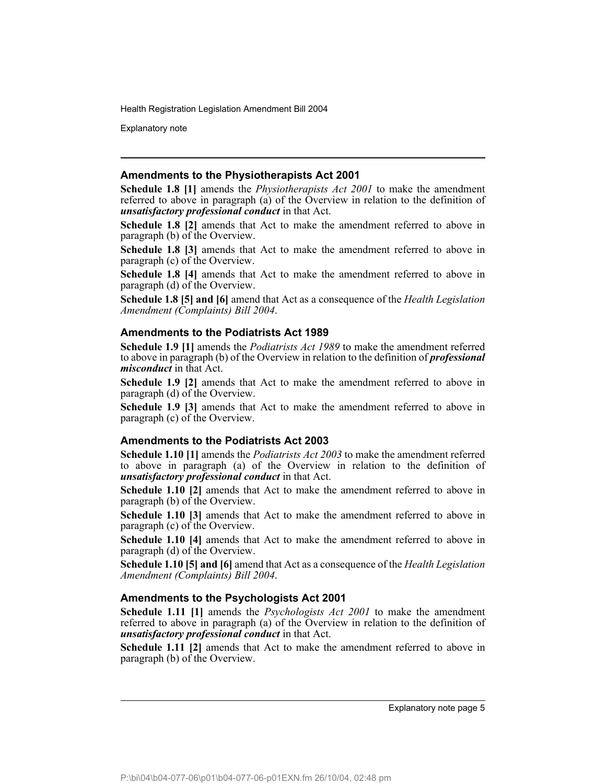Explanatory note

#### **Amendments to the Physiotherapists Act 2001**

**Schedule 1.8 [1]** amends the *Physiotherapists Act 2001* to make the amendment referred to above in paragraph (a) of the Overview in relation to the definition of *unsatisfactory professional conduct* in that Act.

**Schedule 1.8 [2]** amends that Act to make the amendment referred to above in paragraph (b) of the Overview.

**Schedule 1.8 [3]** amends that Act to make the amendment referred to above in paragraph (c) of the Overview.

**Schedule 1.8 [4]** amends that Act to make the amendment referred to above in paragraph (d) of the Overview.

**Schedule 1.8 [5] and [6]** amend that Act as a consequence of the *Health Legislation Amendment (Complaints) Bill 2004*.

#### **Amendments to the Podiatrists Act 1989**

**Schedule 1.9 [1]** amends the *Podiatrists Act 1989* to make the amendment referred to above in paragraph (b) of the Overview in relation to the definition of *professional misconduct* in that Act.

**Schedule 1.9 [2]** amends that Act to make the amendment referred to above in paragraph (d) of the Overview.

**Schedule 1.9 [3]** amends that Act to make the amendment referred to above in paragraph (c) of the Overview.

#### **Amendments to the Podiatrists Act 2003**

**Schedule 1.10 [1]** amends the *Podiatrists Act 2003* to make the amendment referred to above in paragraph (a) of the Overview in relation to the definition of *unsatisfactory professional conduct* in that Act.

**Schedule 1.10 [2]** amends that Act to make the amendment referred to above in paragraph (b) of the Overview.

**Schedule 1.10 [3]** amends that Act to make the amendment referred to above in paragraph (c) of the Overview.

**Schedule 1.10 [4]** amends that Act to make the amendment referred to above in paragraph (d) of the Overview.

**Schedule 1.10 [5] and [6]** amend that Act as a consequence of the *Health Legislation Amendment (Complaints) Bill 2004*.

#### **Amendments to the Psychologists Act 2001**

**Schedule 1.11 [1]** amends the *Psychologists Act 2001* to make the amendment referred to above in paragraph (a) of the Overview in relation to the definition of *unsatisfactory professional conduct* in that Act.

**Schedule 1.11 [2]** amends that Act to make the amendment referred to above in paragraph (b) of the Overview.

Explanatory note page 5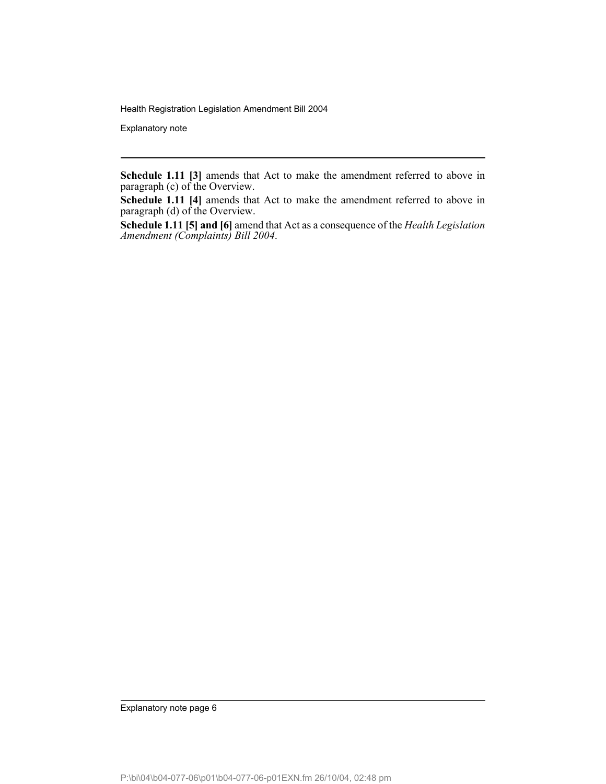Explanatory note

**Schedule 1.11 [3]** amends that Act to make the amendment referred to above in paragraph (c) of the Overview.

**Schedule 1.11 [4]** amends that Act to make the amendment referred to above in paragraph (d) of the Overview.

**Schedule 1.11 [5] and [6]** amend that Act as a consequence of the *Health Legislation Amendment (Complaints) Bill 2004*.

Explanatory note page 6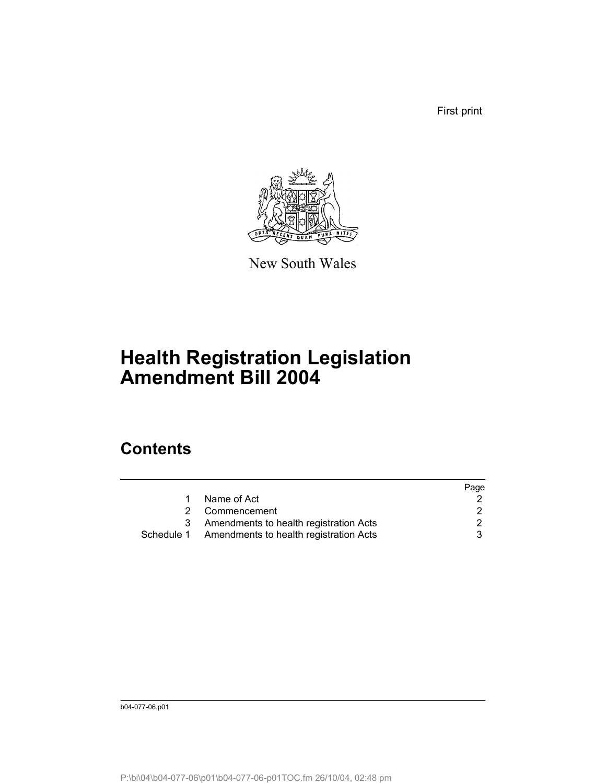First print



New South Wales

# **Health Registration Legislation Amendment Bill 2004**

## **Contents**

|                                                   | Page |
|---------------------------------------------------|------|
| Name of Act                                       |      |
| 2 Commencement                                    |      |
| Amendments to health registration Acts            |      |
| Schedule 1 Amendments to health registration Acts |      |
|                                                   |      |

b04-077-06.p01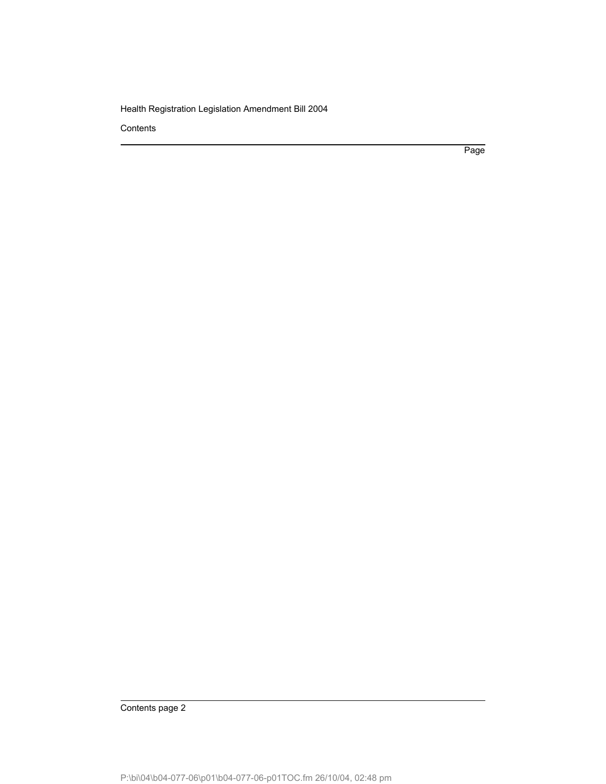**Contents** 

Page

Contents page 2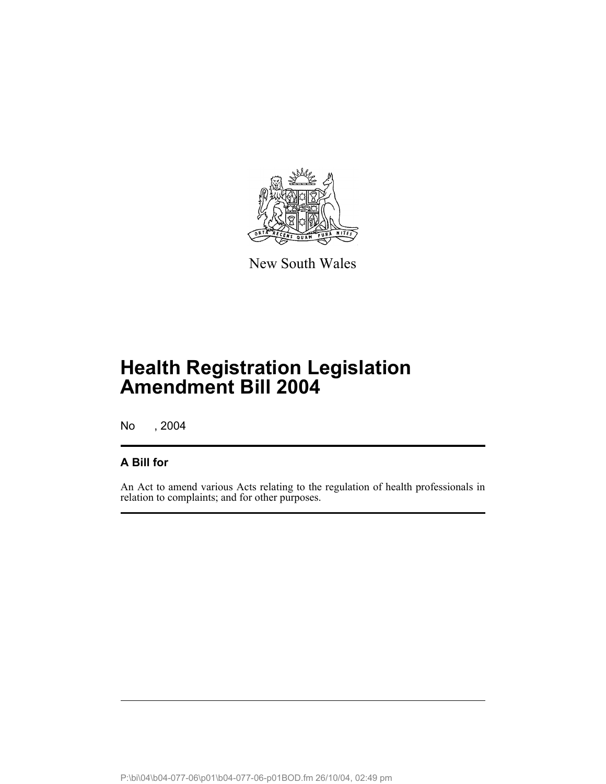

New South Wales

No , 2004

### **A Bill for**

An Act to amend various Acts relating to the regulation of health professionals in relation to complaints; and for other purposes.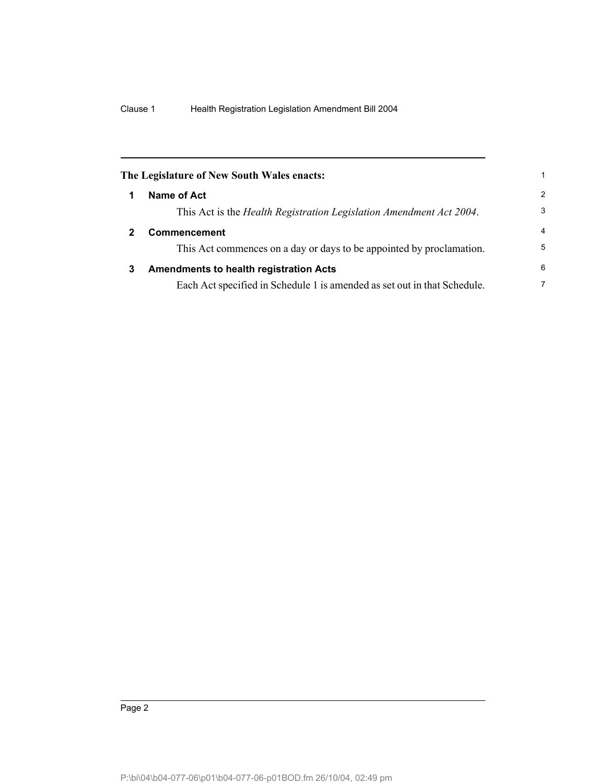<span id="page-9-1"></span><span id="page-9-0"></span>

| The Legislature of New South Wales enacts: |                                                                             | 1              |
|--------------------------------------------|-----------------------------------------------------------------------------|----------------|
| 1                                          | Name of Act                                                                 | 2              |
|                                            | This Act is the <i>Health Registration Legislation Amendment Act 2004</i> . | 3              |
| $\mathbf 2$                                | Commencement                                                                | 4              |
|                                            | This Act commences on a day or days to be appointed by proclamation.        | 5              |
| 3                                          | <b>Amendments to health registration Acts</b>                               | 6              |
|                                            | Each Act specified in Schedule 1 is amended as set out in that Schedule.    | $\overline{7}$ |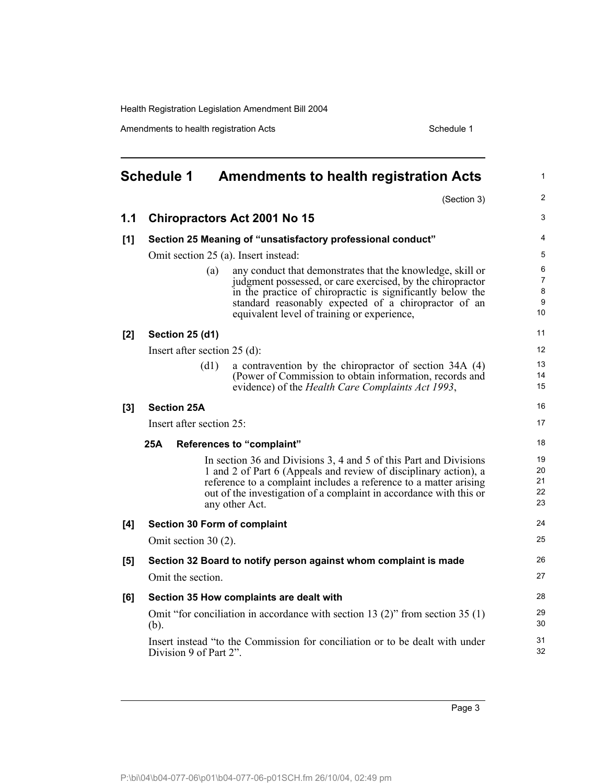<span id="page-10-0"></span>

|     | <b>Schedule 1</b>                   | <b>Amendments to health registration Acts</b>                                                                                                                                                                                                                                                      | 1                          |
|-----|-------------------------------------|----------------------------------------------------------------------------------------------------------------------------------------------------------------------------------------------------------------------------------------------------------------------------------------------------|----------------------------|
|     |                                     | (Section 3)                                                                                                                                                                                                                                                                                        | $\overline{c}$             |
| 1.1 |                                     | <b>Chiropractors Act 2001 No 15</b>                                                                                                                                                                                                                                                                | 3                          |
| [1] |                                     | Section 25 Meaning of "unsatisfactory professional conduct"                                                                                                                                                                                                                                        | 4                          |
|     |                                     | Omit section 25 (a). Insert instead:                                                                                                                                                                                                                                                               | 5                          |
|     | (a)                                 | any conduct that demonstrates that the knowledge, skill or<br>judgment possessed, or care exercised, by the chiropractor<br>in the practice of chiropractic is significantly below the<br>standard reasonably expected of a chiropractor of an<br>equivalent level of training or experience,      | 6<br>7<br>8<br>9<br>10     |
| [2] | Section 25 (d1)                     |                                                                                                                                                                                                                                                                                                    | 11                         |
|     | Insert after section $25$ (d):      |                                                                                                                                                                                                                                                                                                    | 12                         |
|     | (d1)                                | a contravention by the chiropractor of section 34A (4)<br>(Power of Commission to obtain information, records and<br>evidence) of the Health Care Complaints Act 1993,                                                                                                                             | 13<br>14<br>15             |
| [3] | <b>Section 25A</b>                  |                                                                                                                                                                                                                                                                                                    | 16                         |
|     | Insert after section 25:            |                                                                                                                                                                                                                                                                                                    | 17                         |
|     | 25A                                 | References to "complaint"                                                                                                                                                                                                                                                                          | 18                         |
|     |                                     | In section 36 and Divisions 3, 4 and 5 of this Part and Divisions<br>1 and 2 of Part 6 (Appeals and review of disciplinary action), a<br>reference to a complaint includes a reference to a matter arising<br>out of the investigation of a complaint in accordance with this or<br>any other Act. | 19<br>20<br>21<br>22<br>23 |
| [4] | <b>Section 30 Form of complaint</b> |                                                                                                                                                                                                                                                                                                    | 24                         |
|     | Omit section $30(2)$ .              |                                                                                                                                                                                                                                                                                                    | 25                         |
| [5] |                                     | Section 32 Board to notify person against whom complaint is made                                                                                                                                                                                                                                   | 26                         |
|     | Omit the section.                   |                                                                                                                                                                                                                                                                                                    | 27                         |
| [6] |                                     | Section 35 How complaints are dealt with                                                                                                                                                                                                                                                           | 28                         |
|     | (b).                                | Omit "for conciliation in accordance with section 13 $(2)$ " from section 35 $(1)$                                                                                                                                                                                                                 | 29<br>30                   |
|     | Division 9 of Part 2".              | Insert instead "to the Commission for conciliation or to be dealt with under                                                                                                                                                                                                                       | 31<br>32                   |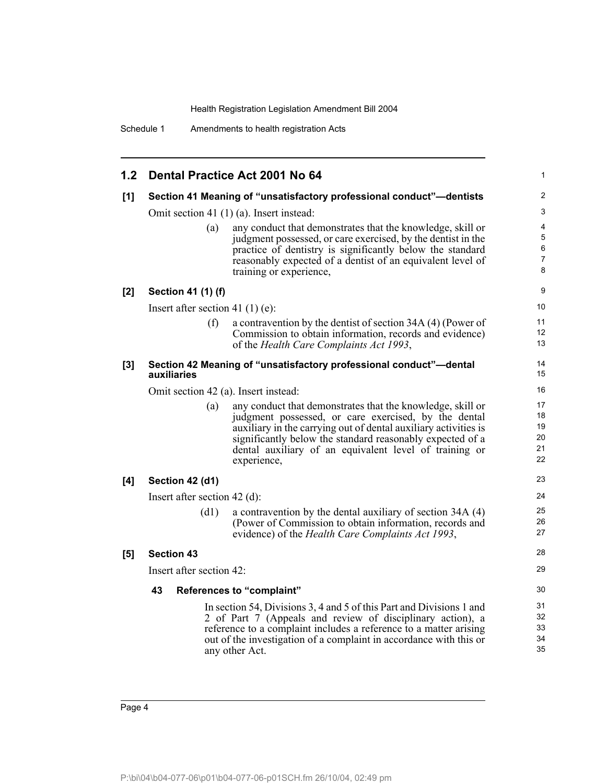| 1.2   |                                      | Dental Practice Act 2001 No 64                                                                                                                                                                                                                                                                                              | 1                                  |
|-------|--------------------------------------|-----------------------------------------------------------------------------------------------------------------------------------------------------------------------------------------------------------------------------------------------------------------------------------------------------------------------------|------------------------------------|
| [1]   |                                      | Section 41 Meaning of "unsatisfactory professional conduct"-dentists                                                                                                                                                                                                                                                        | 2                                  |
|       |                                      | Omit section 41 (1) (a). Insert instead:                                                                                                                                                                                                                                                                                    | 3                                  |
|       | (a)                                  | any conduct that demonstrates that the knowledge, skill or<br>judgment possessed, or care exercised, by the dentist in the<br>practice of dentistry is significantly below the standard<br>reasonably expected of a dentist of an equivalent level of<br>training or experience,                                            | 4<br>5<br>6<br>$\overline{7}$<br>8 |
| [2]   | Section 41 (1) (f)                   |                                                                                                                                                                                                                                                                                                                             | 9                                  |
|       | Insert after section 41 $(1)$ (e):   |                                                                                                                                                                                                                                                                                                                             | 10                                 |
|       | (f)                                  | a contravention by the dentist of section 34A (4) (Power of<br>Commission to obtain information, records and evidence)<br>of the Health Care Complaints Act 1993,                                                                                                                                                           | 11<br>12<br>13                     |
| $[3]$ | auxiliaries                          | Section 42 Meaning of "unsatisfactory professional conduct"-dental                                                                                                                                                                                                                                                          | 14<br>15                           |
|       | Omit section 42 (a). Insert instead: |                                                                                                                                                                                                                                                                                                                             | 16                                 |
|       | (a)                                  | any conduct that demonstrates that the knowledge, skill or<br>judgment possessed, or care exercised, by the dental<br>auxiliary in the carrying out of dental auxiliary activities is<br>significantly below the standard reasonably expected of a<br>dental auxiliary of an equivalent level of training or<br>experience, | 17<br>18<br>19<br>20<br>21<br>22   |
| [4]   | Section 42 (d1)                      |                                                                                                                                                                                                                                                                                                                             | 23                                 |
|       | Insert after section $42$ (d):       |                                                                                                                                                                                                                                                                                                                             | 24                                 |
|       | (d1)                                 | a contravention by the dental auxiliary of section 34A (4)<br>(Power of Commission to obtain information, records and<br>evidence) of the Health Care Complaints Act 1993,                                                                                                                                                  | 25<br>26<br>27                     |
| [5]   | <b>Section 43</b>                    |                                                                                                                                                                                                                                                                                                                             | 28                                 |
|       | Insert after section 42:             |                                                                                                                                                                                                                                                                                                                             | 29                                 |
|       | 43                                   | References to "complaint"                                                                                                                                                                                                                                                                                                   | 30                                 |
|       |                                      | In section 54, Divisions 3, 4 and 5 of this Part and Divisions 1 and<br>2 of Part 7 (Appeals and review of disciplinary action), a<br>reference to a complaint includes a reference to a matter arising<br>out of the investigation of a complaint in accordance with this or<br>any other Act.                             | 31<br>32<br>33<br>34<br>35         |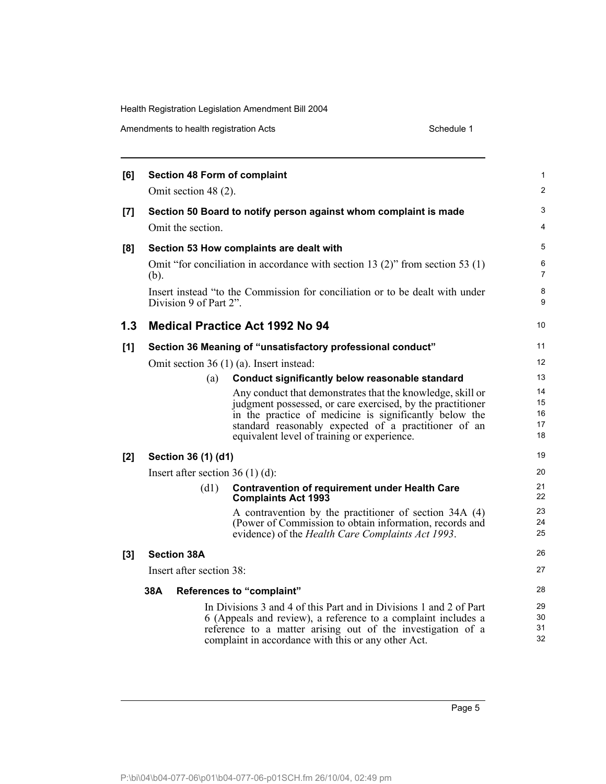| [6]   |         |                                   | Section 48 Form of complaint                                                                                         | $\mathbf{1}$        |
|-------|---------|-----------------------------------|----------------------------------------------------------------------------------------------------------------------|---------------------|
|       |         | Omit section 48 (2).              |                                                                                                                      | 2                   |
| $[7]$ |         |                                   | Section 50 Board to notify person against whom complaint is made                                                     | 3                   |
|       |         | Omit the section.                 |                                                                                                                      | $\overline{4}$      |
| [8]   |         |                                   | Section 53 How complaints are dealt with                                                                             | 5                   |
|       | $(b)$ . |                                   | Omit "for conciliation in accordance with section 13 $(2)$ " from section 53 $(1)$                                   | 6<br>$\overline{7}$ |
|       |         | Division 9 of Part 2".            | Insert instead "to the Commission for conciliation or to be dealt with under                                         | 8<br>9              |
| 1.3   |         |                                   | <b>Medical Practice Act 1992 No 94</b>                                                                               | 10                  |
| [1]   |         |                                   | Section 36 Meaning of "unsatisfactory professional conduct"                                                          | 11                  |
|       |         |                                   | Omit section $36(1)(a)$ . Insert instead:                                                                            | 12                  |
|       |         | (a)                               | Conduct significantly below reasonable standard                                                                      | 13                  |
|       |         |                                   | Any conduct that demonstrates that the knowledge, skill or                                                           | 14                  |
|       |         |                                   | judgment possessed, or care exercised, by the practitioner<br>in the practice of medicine is significantly below the | 15<br>16            |
|       |         |                                   | standard reasonably expected of a practitioner of an                                                                 | 17                  |
|       |         |                                   | equivalent level of training or experience.                                                                          | 18                  |
| [2]   |         | Section 36 (1) (d1)               |                                                                                                                      | 19                  |
|       |         | Insert after section $36(1)(d)$ : |                                                                                                                      | 20                  |
|       |         | (d1)                              | <b>Contravention of requirement under Health Care</b><br><b>Complaints Act 1993</b>                                  | 21<br>22            |
|       |         |                                   | A contravention by the practitioner of section 34A (4)                                                               | 23<br>24            |
|       |         |                                   | (Power of Commission to obtain information, records and<br>evidence) of the <i>Health Care Complaints Act 1993</i> . | 25                  |
| $[3]$ |         | <b>Section 38A</b>                |                                                                                                                      | 26                  |
|       |         | Insert after section 38:          |                                                                                                                      | 27                  |
|       | 38A     |                                   | References to "complaint"                                                                                            | 28                  |
|       |         |                                   | In Divisions 3 and 4 of this Part and in Divisions 1 and 2 of Part                                                   | 29                  |
|       |         |                                   | 6 (Appeals and review), a reference to a complaint includes a                                                        | 30                  |
|       |         |                                   | reference to a matter arising out of the investigation of a<br>complaint in accordance with this or any other Act.   | 31<br>32            |
|       |         |                                   |                                                                                                                      |                     |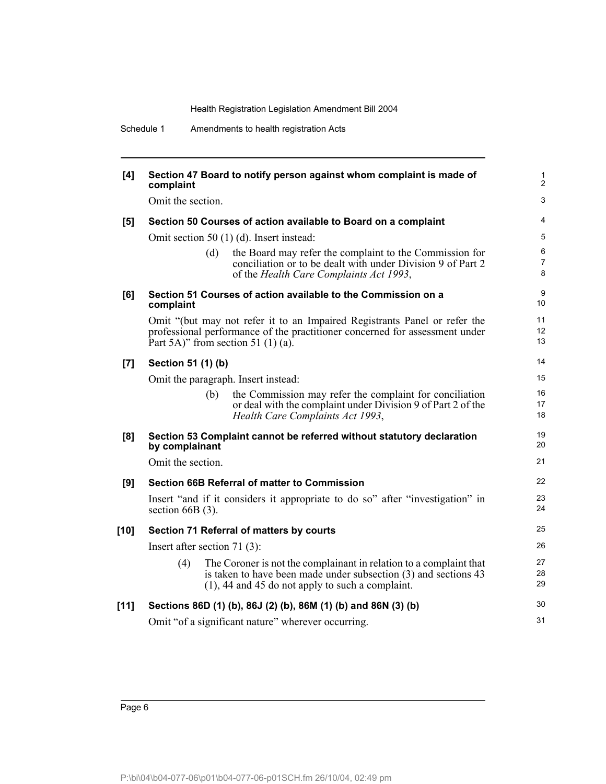| [4]    | Section 47 Board to notify person against whom complaint is made of<br>complaint                                                                                                                    | 1<br>$\overline{c}$ |
|--------|-----------------------------------------------------------------------------------------------------------------------------------------------------------------------------------------------------|---------------------|
|        | Omit the section.                                                                                                                                                                                   | 3                   |
| [5]    | Section 50 Courses of action available to Board on a complaint                                                                                                                                      | 4                   |
|        | Omit section 50 (1) (d). Insert instead:                                                                                                                                                            | 5                   |
|        | (d)<br>the Board may refer the complaint to the Commission for<br>conciliation or to be dealt with under Division 9 of Part 2<br>of the Health Care Complaints Act 1993,                            | 6<br>7<br>8         |
| [6]    | Section 51 Courses of action available to the Commission on a<br>complaint                                                                                                                          | 9<br>10             |
|        | Omit "(but may not refer it to an Impaired Registrants Panel or refer the<br>professional performance of the practitioner concerned for assessment under<br>Part 5A)" from section 51 (1) (a).      | 11<br>12<br>13      |
| [7]    | Section 51 (1) (b)                                                                                                                                                                                  | 14                  |
|        | Omit the paragraph. Insert instead:                                                                                                                                                                 | 15                  |
|        | the Commission may refer the complaint for conciliation<br>(b)<br>or deal with the complaint under Division 9 of Part 2 of the<br>Health Care Complaints Act 1993,                                  | 16<br>17<br>18      |
| [8]    | Section 53 Complaint cannot be referred without statutory declaration<br>by complainant                                                                                                             | 19<br>20            |
|        | Omit the section.                                                                                                                                                                                   | 21                  |
| [9]    | Section 66B Referral of matter to Commission                                                                                                                                                        | 22                  |
|        | Insert "and if it considers it appropriate to do so" after "investigation" in<br>section $66B(3)$ .                                                                                                 | 23<br>24            |
| $[10]$ | Section 71 Referral of matters by courts                                                                                                                                                            | 25                  |
|        | Insert after section 71 $(3)$ :                                                                                                                                                                     | 26                  |
|        | The Coroner is not the complainant in relation to a complaint that<br>(4)<br>is taken to have been made under subsection (3) and sections 43<br>$(1)$ , 44 and 45 do not apply to such a complaint. | 27<br>28<br>29      |
| $[11]$ | Sections 86D (1) (b), 86J (2) (b), 86M (1) (b) and 86N (3) (b)                                                                                                                                      | 30                  |
|        | Omit "of a significant nature" wherever occurring.                                                                                                                                                  | 31                  |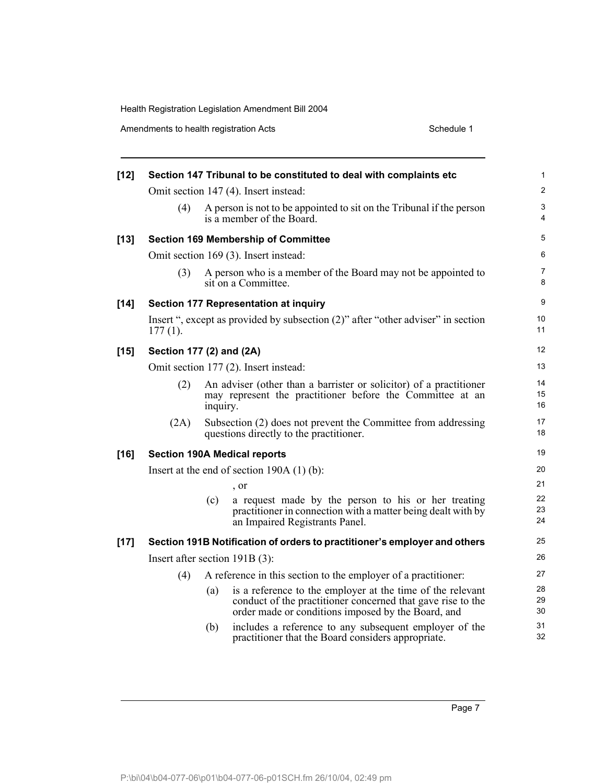| $[12]$ |                                |          | Section 147 Tribunal to be constituted to deal with complaints etc                                                                                                              | 1              |
|--------|--------------------------------|----------|---------------------------------------------------------------------------------------------------------------------------------------------------------------------------------|----------------|
|        |                                |          | Omit section 147 (4). Insert instead:                                                                                                                                           | $\overline{c}$ |
|        | (4)                            |          | A person is not to be appointed to sit on the Tribunal if the person<br>is a member of the Board.                                                                               | 3<br>4         |
| $[13]$ |                                |          | <b>Section 169 Membership of Committee</b>                                                                                                                                      | 5              |
|        |                                |          | Omit section 169 (3). Insert instead:                                                                                                                                           | 6              |
|        | (3)                            |          | A person who is a member of the Board may not be appointed to<br>sit on a Committee.                                                                                            | 7<br>8         |
| $[14]$ |                                |          | Section 177 Representation at inquiry                                                                                                                                           | 9              |
|        | $177(1)$ .                     |          | Insert ", except as provided by subsection (2)" after "other adviser" in section                                                                                                | 10<br>11       |
| $[15]$ | Section 177 (2) and (2A)       |          |                                                                                                                                                                                 | 12             |
|        |                                |          | Omit section 177 (2). Insert instead:                                                                                                                                           | 13             |
|        | (2)                            | inquiry. | An adviser (other than a barrister or solicitor) of a practitioner<br>may represent the practitioner before the Committee at an                                                 | 14<br>15<br>16 |
|        | (2A)                           |          | Subsection (2) does not prevent the Committee from addressing<br>questions directly to the practitioner.                                                                        | 17<br>18       |
| $[16]$ |                                |          | <b>Section 190A Medical reports</b>                                                                                                                                             | 19             |
|        |                                |          | Insert at the end of section $190A(1)(b)$ :                                                                                                                                     | 20             |
|        |                                |          | $\cdot$ or                                                                                                                                                                      | 21             |
|        |                                | (c)      | a request made by the person to his or her treating<br>practitioner in connection with a matter being dealt with by<br>an Impaired Registrants Panel.                           | 22<br>23<br>24 |
| $[17]$ |                                |          | Section 191B Notification of orders to practitioner's employer and others                                                                                                       | 25             |
|        | Insert after section 191B (3): |          |                                                                                                                                                                                 | 26             |
|        | (4)                            |          | A reference in this section to the employer of a practitioner.                                                                                                                  | 27             |
|        |                                | (a)      | is a reference to the employer at the time of the relevant<br>conduct of the practitioner concerned that gave rise to the<br>order made or conditions imposed by the Board, and | 28<br>29<br>30 |
|        |                                | (b)      | includes a reference to any subsequent employer of the<br>practitioner that the Board considers appropriate.                                                                    | 31<br>32       |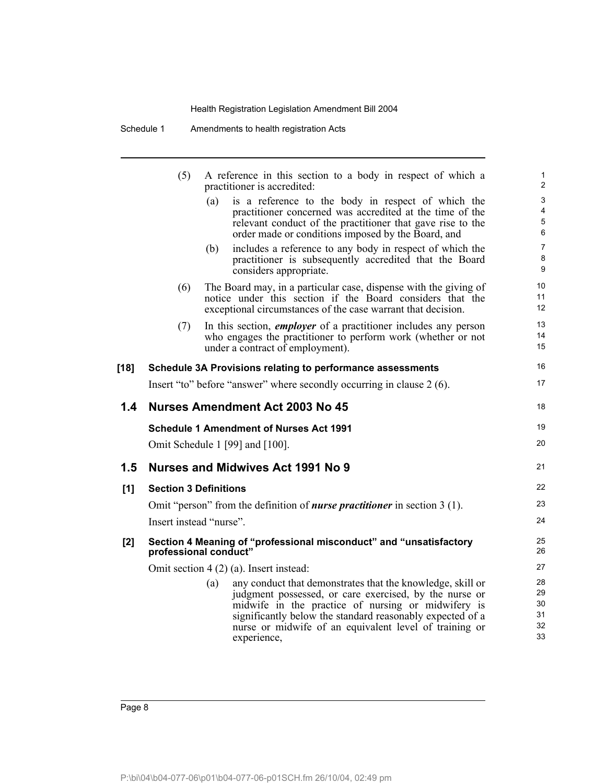|        | (5)                          | A reference in this section to a body in respect of which a                                                               | 1                     |
|--------|------------------------------|---------------------------------------------------------------------------------------------------------------------------|-----------------------|
|        |                              | practitioner is accredited:                                                                                               | $\overline{2}$        |
|        |                              | is a reference to the body in respect of which the<br>(a)                                                                 | 3                     |
|        |                              | practitioner concerned was accredited at the time of the<br>relevant conduct of the practitioner that gave rise to the    | 4<br>5                |
|        |                              | order made or conditions imposed by the Board, and                                                                        | 6                     |
|        |                              | includes a reference to any body in respect of which the<br>(b)                                                           | $\overline{7}$        |
|        |                              | practitioner is subsequently accredited that the Board<br>considers appropriate.                                          | $\bf 8$<br>9          |
|        | (6)                          | The Board may, in a particular case, dispense with the giving of                                                          | 10                    |
|        |                              | notice under this section if the Board considers that the<br>exceptional circumstances of the case warrant that decision. | 11<br>12 <sup>2</sup> |
|        | (7)                          | In this section, <i>employer</i> of a practitioner includes any person                                                    | 13                    |
|        |                              | who engages the practitioner to perform work (whether or not<br>under a contract of employment).                          | 14<br>15              |
| $[18]$ |                              | Schedule 3A Provisions relating to performance assessments                                                                | 16                    |
|        |                              | Insert "to" before "answer" where secondly occurring in clause 2 (6).                                                     | 17                    |
| 1.4    |                              | <b>Nurses Amendment Act 2003 No 45</b>                                                                                    | 18                    |
|        |                              | <b>Schedule 1 Amendment of Nurses Act 1991</b>                                                                            | 19                    |
|        |                              | Omit Schedule 1 [99] and [100].                                                                                           | 20                    |
| 1.5    |                              | Nurses and Midwives Act 1991 No 9                                                                                         | 21                    |
| [1]    | <b>Section 3 Definitions</b> |                                                                                                                           | 22                    |
|        |                              |                                                                                                                           |                       |
|        |                              | Omit "person" from the definition of <i>nurse practitioner</i> in section $3(1)$ .                                        | 23                    |
|        |                              | Insert instead "nurse".                                                                                                   | 24                    |
| $[2]$  |                              | Section 4 Meaning of "professional misconduct" and "unsatisfactory<br>professional conduct"                               |                       |
|        |                              | Omit section 4 (2) (a). Insert instead:                                                                                   |                       |
|        |                              | any conduct that demonstrates that the knowledge, skill or<br>(a)                                                         | 25<br>26<br>27<br>28  |
|        |                              | judgment possessed, or care exercised, by the nurse or                                                                    |                       |
|        |                              | midwife in the practice of nursing or midwifery is                                                                        | 29<br>30              |
|        |                              | significantly below the standard reasonably expected of a                                                                 | 31<br>32              |
|        |                              | nurse or midwife of an equivalent level of training or<br>experience,                                                     | 33                    |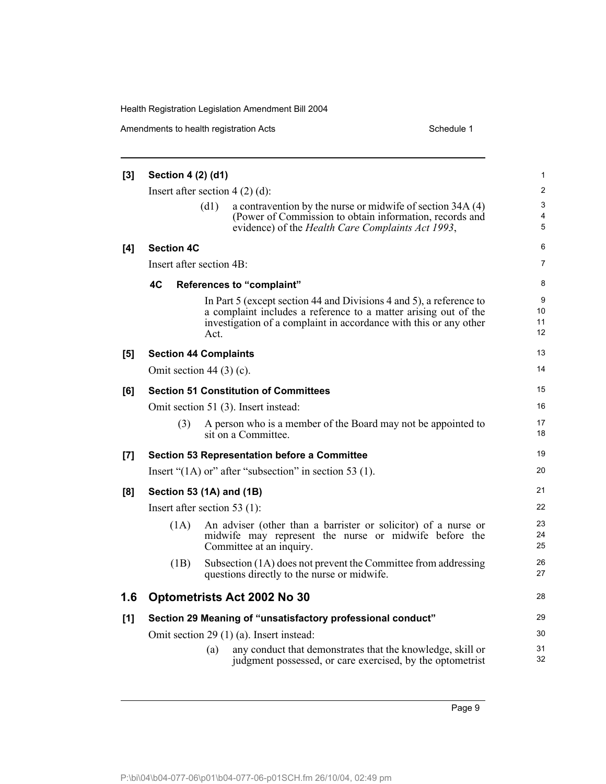| Amendments to health registration Acts | Schedule 1 |
|----------------------------------------|------------|
|----------------------------------------|------------|

| Schedule 1 |  |  |
|------------|--|--|
|            |  |  |
|            |  |  |

| $[3]$ | Section 4 (2) (d1)               |      |                                                                                                                                                                                                             | 1                        |
|-------|----------------------------------|------|-------------------------------------------------------------------------------------------------------------------------------------------------------------------------------------------------------------|--------------------------|
|       | Insert after section $4(2)(d)$ : |      |                                                                                                                                                                                                             | 2                        |
|       |                                  | (d1) | a contravention by the nurse or midwife of section 34A (4)<br>(Power of Commission to obtain information, records and<br>evidence) of the Health Care Complaints Act 1993,                                  | 3<br>$\overline{4}$<br>5 |
| [4]   | <b>Section 4C</b>                |      |                                                                                                                                                                                                             | 6                        |
|       | Insert after section 4B:         |      |                                                                                                                                                                                                             | $\overline{7}$           |
|       | 4C                               |      | References to "complaint"                                                                                                                                                                                   | 8                        |
|       |                                  | Act. | In Part 5 (except section 44 and Divisions 4 and 5), a reference to<br>a complaint includes a reference to a matter arising out of the<br>investigation of a complaint in accordance with this or any other | 9<br>10<br>11<br>12      |
| [5]   | <b>Section 44 Complaints</b>     |      |                                                                                                                                                                                                             | 13                       |
|       | Omit section 44 $(3)$ (c).       |      |                                                                                                                                                                                                             | 14                       |
| [6]   |                                  |      | <b>Section 51 Constitution of Committees</b>                                                                                                                                                                | 15                       |
|       |                                  |      | Omit section 51 (3). Insert instead:                                                                                                                                                                        | 16                       |
|       | (3)                              |      | A person who is a member of the Board may not be appointed to<br>sit on a Committee.                                                                                                                        | 17<br>18                 |
| $[7]$ |                                  |      | <b>Section 53 Representation before a Committee</b>                                                                                                                                                         | 19                       |
|       |                                  |      | Insert " $(1A)$ or" after "subsection" in section 53 (1).                                                                                                                                                   | 20                       |
| [8]   | Section 53 (1A) and (1B)         |      |                                                                                                                                                                                                             | 21                       |
|       | Insert after section 53 $(1)$ :  |      |                                                                                                                                                                                                             | 22                       |
|       | (1A)                             |      | An adviser (other than a barrister or solicitor) of a nurse or<br>midwife may represent the nurse or midwife before the<br>Committee at an inquiry.                                                         | 23<br>24<br>25           |
|       | (1B)                             |      | Subsection (1A) does not prevent the Committee from addressing<br>questions directly to the nurse or midwife.                                                                                               | 26<br>27                 |
| 1.6   |                                  |      | <b>Optometrists Act 2002 No 30</b>                                                                                                                                                                          | 28                       |
| [1]   |                                  |      | Section 29 Meaning of "unsatisfactory professional conduct"                                                                                                                                                 | 29                       |
|       |                                  |      | Omit section 29 (1) (a). Insert instead:                                                                                                                                                                    | 30                       |
|       |                                  | (a)  | any conduct that demonstrates that the knowledge, skill or<br>judgment possessed, or care exercised, by the optometrist                                                                                     | 31<br>32                 |

Page 9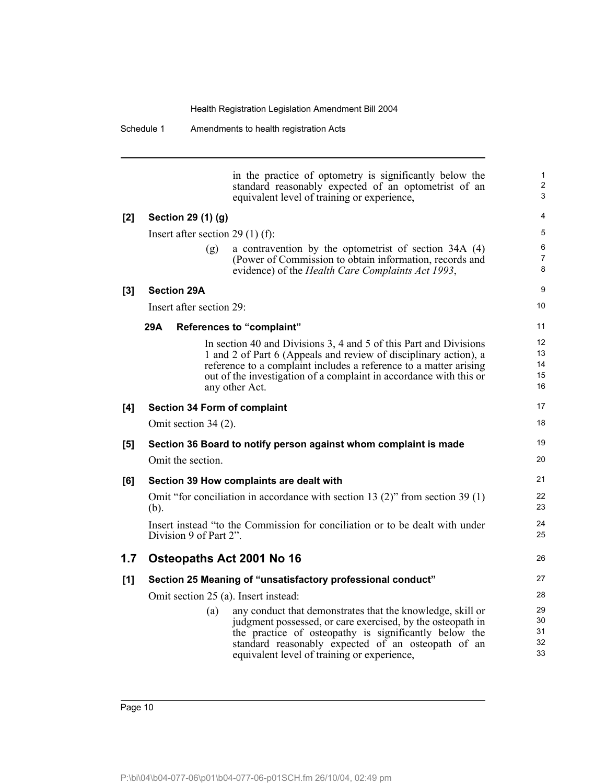|       | in the practice of optometry is significantly below the<br>standard reasonably expected of an optometrist of an<br>equivalent level of training or experience,                                                                                                                                     | $\mathbf{1}$<br>2<br>3     |
|-------|----------------------------------------------------------------------------------------------------------------------------------------------------------------------------------------------------------------------------------------------------------------------------------------------------|----------------------------|
| $[2]$ | Section 29 (1) (g)                                                                                                                                                                                                                                                                                 | 4                          |
|       | Insert after section 29 $(1)$ (f):                                                                                                                                                                                                                                                                 | 5                          |
|       | a contravention by the optometrist of section 34A (4)<br>(g)<br>(Power of Commission to obtain information, records and<br>evidence) of the Health Care Complaints Act 1993,                                                                                                                       | 6<br>7<br>8                |
| [3]   | <b>Section 29A</b>                                                                                                                                                                                                                                                                                 | 9                          |
|       | Insert after section 29:                                                                                                                                                                                                                                                                           | 10                         |
|       | 29A<br>References to "complaint"                                                                                                                                                                                                                                                                   | 11                         |
|       | In section 40 and Divisions 3, 4 and 5 of this Part and Divisions<br>1 and 2 of Part 6 (Appeals and review of disciplinary action), a<br>reference to a complaint includes a reference to a matter arising<br>out of the investigation of a complaint in accordance with this or<br>any other Act. | 12<br>13<br>14<br>15<br>16 |
| [4]   | <b>Section 34 Form of complaint</b>                                                                                                                                                                                                                                                                | 17                         |
|       | Omit section 34 (2).                                                                                                                                                                                                                                                                               | 18                         |
| [5]   | Section 36 Board to notify person against whom complaint is made                                                                                                                                                                                                                                   | 19                         |
|       | Omit the section.                                                                                                                                                                                                                                                                                  | 20                         |
| [6]   | Section 39 How complaints are dealt with                                                                                                                                                                                                                                                           | 21                         |
|       | Omit "for conciliation in accordance with section 13 $(2)$ " from section 39 $(1)$<br>$(b)$ .                                                                                                                                                                                                      | 22<br>23                   |
|       | Insert instead "to the Commission for conciliation or to be dealt with under<br>Division 9 of Part 2".                                                                                                                                                                                             | 24<br>25                   |
| 1.7   | Osteopaths Act 2001 No 16                                                                                                                                                                                                                                                                          | 26                         |
| [1]   | Section 25 Meaning of "unsatisfactory professional conduct"                                                                                                                                                                                                                                        | 27                         |
|       | Omit section 25 (a). Insert instead:                                                                                                                                                                                                                                                               | 28                         |
|       | any conduct that demonstrates that the knowledge, skill or<br>(a)<br>judgment possessed, or care exercised, by the osteopath in<br>the practice of osteopathy is significantly below the<br>standard reasonably expected of an osteopath of an<br>equivalent level of training or experience,      | 29<br>30<br>31<br>32<br>33 |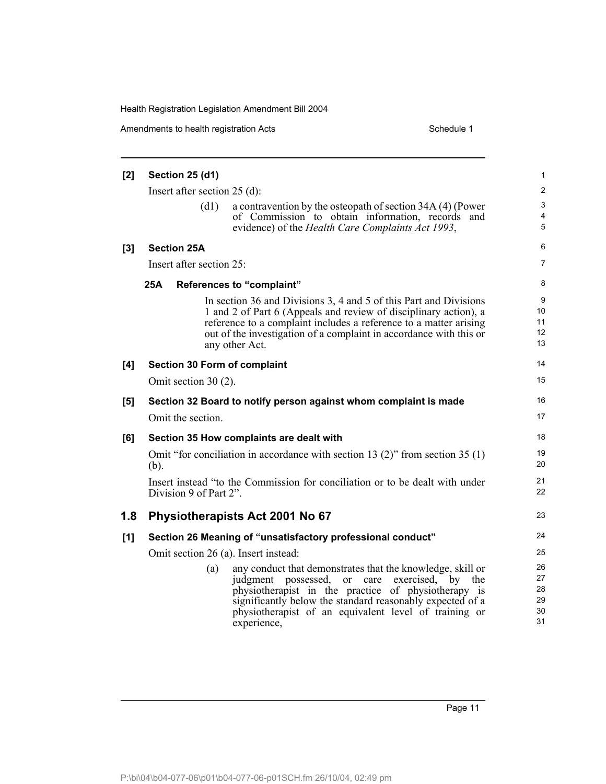Amendments to health registration Acts

| Schedule 1 |  |  |
|------------|--|--|
|            |  |  |
|            |  |  |

| 1                                |
|----------------------------------|
| $\overline{\mathbf{c}}$          |
| 3<br>4<br>5                      |
| 6                                |
| 7                                |
| 8                                |
| 9<br>10<br>11<br>12<br>13        |
| 14                               |
| 15                               |
| 16                               |
| 17                               |
| 18                               |
| 19<br>20                         |
| 21<br>22                         |
| 23                               |
| 24                               |
| 25                               |
| 26<br>27<br>28<br>29<br>30<br>31 |
|                                  |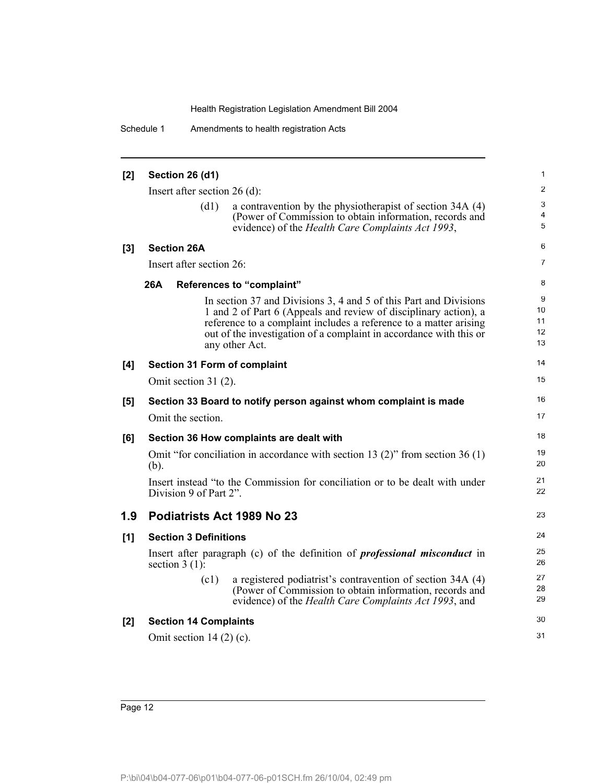| [2] | Section 26 (d1)                     |                                                                                                                                                                                                                                                                                                    | $\mathbf{1}$              |
|-----|-------------------------------------|----------------------------------------------------------------------------------------------------------------------------------------------------------------------------------------------------------------------------------------------------------------------------------------------------|---------------------------|
|     | Insert after section $26$ (d):      |                                                                                                                                                                                                                                                                                                    | $\overline{c}$            |
|     | (d1)                                | a contravention by the physiotherapist of section 34A (4)<br>(Power of Commission to obtain information, records and<br>evidence) of the Health Care Complaints Act 1993,                                                                                                                          | 3<br>4<br>5               |
| [3] | <b>Section 26A</b>                  |                                                                                                                                                                                                                                                                                                    | 6                         |
|     | Insert after section 26:            |                                                                                                                                                                                                                                                                                                    | 7                         |
|     | 26A                                 | References to "complaint"                                                                                                                                                                                                                                                                          | 8                         |
|     |                                     | In section 37 and Divisions 3, 4 and 5 of this Part and Divisions<br>1 and 2 of Part 6 (Appeals and review of disciplinary action), a<br>reference to a complaint includes a reference to a matter arising<br>out of the investigation of a complaint in accordance with this or<br>any other Act. | 9<br>10<br>11<br>12<br>13 |
| [4] | <b>Section 31 Form of complaint</b> |                                                                                                                                                                                                                                                                                                    | 14                        |
|     | Omit section $31(2)$ .              |                                                                                                                                                                                                                                                                                                    | 15                        |
| [5] |                                     | Section 33 Board to notify person against whom complaint is made                                                                                                                                                                                                                                   | 16                        |
|     | Omit the section.                   |                                                                                                                                                                                                                                                                                                    | 17                        |
| [6] |                                     | Section 36 How complaints are dealt with                                                                                                                                                                                                                                                           | 18                        |
|     | (b).                                | Omit "for conciliation in accordance with section 13 $(2)$ " from section 36 $(1)$                                                                                                                                                                                                                 | 19<br>20                  |
|     | Division 9 of Part 2".              | Insert instead "to the Commission for conciliation or to be dealt with under                                                                                                                                                                                                                       | 21<br>22                  |
| 1.9 |                                     | Podiatrists Act 1989 No 23                                                                                                                                                                                                                                                                         | 23                        |
| [1] | <b>Section 3 Definitions</b>        |                                                                                                                                                                                                                                                                                                    | 24                        |
|     | section $3(1)$ :                    | Insert after paragraph (c) of the definition of <i>professional misconduct</i> in                                                                                                                                                                                                                  | 25<br>26                  |
|     | (c1)                                | a registered podiatrist's contravention of section 34A (4)<br>(Power of Commission to obtain information, records and<br>evidence) of the Health Care Complaints Act 1993, and                                                                                                                     | 27<br>28<br>29            |
| [2] | <b>Section 14 Complaints</b>        |                                                                                                                                                                                                                                                                                                    | 30                        |
|     | Omit section $14(2)$ (c).           |                                                                                                                                                                                                                                                                                                    | 31                        |
|     |                                     |                                                                                                                                                                                                                                                                                                    |                           |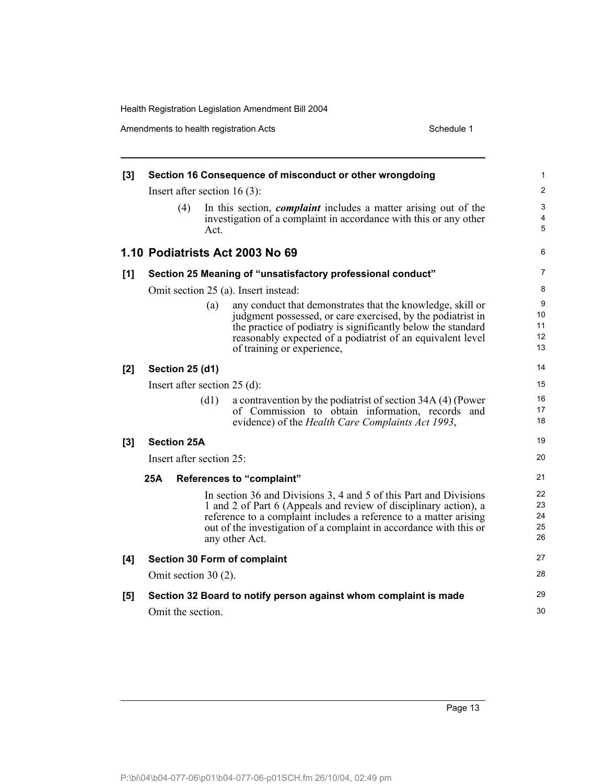| [3]                              |                                |      | Section 16 Consequence of misconduct or other wrongdoing                                                                                                                                                                                                                                           | 1                          |
|----------------------------------|--------------------------------|------|----------------------------------------------------------------------------------------------------------------------------------------------------------------------------------------------------------------------------------------------------------------------------------------------------|----------------------------|
|                                  | Insert after section $16(3)$ : |      |                                                                                                                                                                                                                                                                                                    | $\overline{\mathbf{c}}$    |
|                                  | (4)                            | Act. | In this section, <i>complaint</i> includes a matter arising out of the<br>investigation of a complaint in accordance with this or any other                                                                                                                                                        | 3<br>4<br>5                |
|                                  |                                |      | 1.10 Podiatrists Act 2003 No 69                                                                                                                                                                                                                                                                    | 6                          |
| [1]                              |                                |      | Section 25 Meaning of "unsatisfactory professional conduct"                                                                                                                                                                                                                                        | 7                          |
|                                  |                                |      | Omit section 25 (a). Insert instead:                                                                                                                                                                                                                                                               | 8                          |
|                                  |                                | (a)  | any conduct that demonstrates that the knowledge, skill or<br>judgment possessed, or care exercised, by the podiatrist in<br>the practice of podiatry is significantly below the standard<br>reasonably expected of a podiatrist of an equivalent level<br>of training or experience,              | 9<br>10<br>11<br>12<br>13  |
| $[2]$                            | <b>Section 25 (d1)</b>         |      |                                                                                                                                                                                                                                                                                                    | 14                         |
|                                  | Insert after section $25$ (d): |      | 15                                                                                                                                                                                                                                                                                                 |                            |
|                                  |                                | (d1) | a contravention by the podiatrist of section 34A (4) (Power<br>of Commission to obtain information, records and<br>evidence) of the Health Care Complaints Act 1993,                                                                                                                               | 16<br>17<br>18             |
| $[3]$                            | <b>Section 25A</b>             |      |                                                                                                                                                                                                                                                                                                    | 19                         |
|                                  | Insert after section 25:       |      |                                                                                                                                                                                                                                                                                                    | 20                         |
| 25A<br>References to "complaint" |                                |      | 21                                                                                                                                                                                                                                                                                                 |                            |
|                                  |                                |      | In section 36 and Divisions 3, 4 and 5 of this Part and Divisions<br>1 and 2 of Part 6 (Appeals and review of disciplinary action), a<br>reference to a complaint includes a reference to a matter arising<br>out of the investigation of a complaint in accordance with this or<br>any other Act. | 22<br>23<br>24<br>25<br>26 |
| [4]                              |                                |      | Section 30 Form of complaint                                                                                                                                                                                                                                                                       | 27                         |
|                                  | Omit section $30(2)$ .         |      |                                                                                                                                                                                                                                                                                                    | 28                         |
| [5]                              |                                |      | Section 32 Board to notify person against whom complaint is made                                                                                                                                                                                                                                   | 29                         |
|                                  | Omit the section.              |      |                                                                                                                                                                                                                                                                                                    | 30                         |
|                                  |                                |      |                                                                                                                                                                                                                                                                                                    |                            |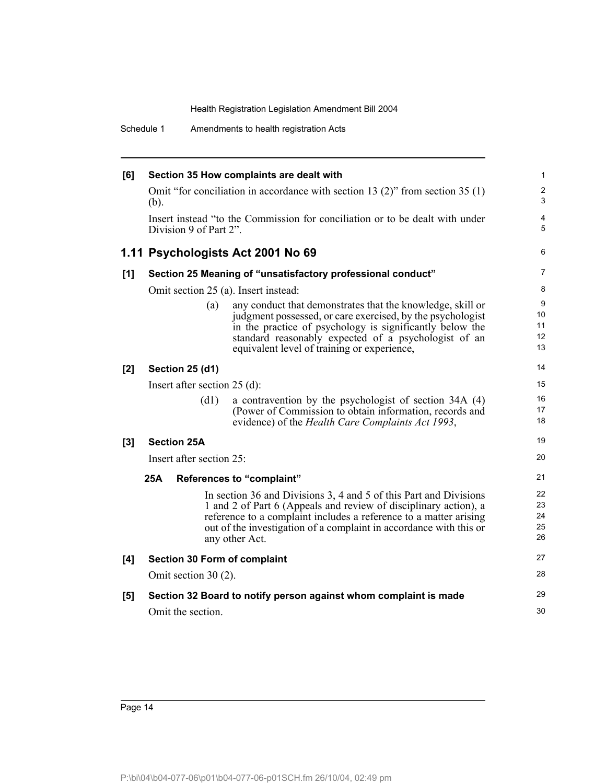| [6] |                                                                                            | Section 35 How complaints are dealt with                                                                                                                                                                                                                                                           | 1                          |
|-----|--------------------------------------------------------------------------------------------|----------------------------------------------------------------------------------------------------------------------------------------------------------------------------------------------------------------------------------------------------------------------------------------------------|----------------------------|
|     | Omit "for conciliation in accordance with section 13 $(2)$ " from section 35 $(1)$<br>(b). |                                                                                                                                                                                                                                                                                                    | $\overline{c}$<br>3        |
|     | Division 9 of Part 2".                                                                     | Insert instead "to the Commission for conciliation or to be dealt with under                                                                                                                                                                                                                       | 4<br>5                     |
|     |                                                                                            | 1.11 Psychologists Act 2001 No 69                                                                                                                                                                                                                                                                  | 6                          |
| [1] |                                                                                            | Section 25 Meaning of "unsatisfactory professional conduct"                                                                                                                                                                                                                                        | 7                          |
|     |                                                                                            | Omit section 25 (a). Insert instead:                                                                                                                                                                                                                                                               | 8                          |
|     | (a)                                                                                        | any conduct that demonstrates that the knowledge, skill or<br>judgment possessed, or care exercised, by the psychologist<br>in the practice of psychology is significantly below the<br>standard reasonably expected of a psychologist of an<br>equivalent level of training or experience,        | 9<br>10<br>11<br>12<br>13  |
| [2] | Section 25 (d1)                                                                            |                                                                                                                                                                                                                                                                                                    | 14                         |
|     | Insert after section $25$ (d):                                                             |                                                                                                                                                                                                                                                                                                    |                            |
|     | (d1)                                                                                       | a contravention by the psychologist of section 34A (4)<br>(Power of Commission to obtain information, records and<br>evidence) of the Health Care Complaints Act 1993,                                                                                                                             | 16<br>17<br>18             |
| [3] | <b>Section 25A</b>                                                                         |                                                                                                                                                                                                                                                                                                    | 19                         |
|     | Insert after section 25:                                                                   |                                                                                                                                                                                                                                                                                                    | 20                         |
|     | 25A                                                                                        | References to "complaint"                                                                                                                                                                                                                                                                          | 21                         |
|     |                                                                                            | In section 36 and Divisions 3, 4 and 5 of this Part and Divisions<br>1 and 2 of Part 6 (Appeals and review of disciplinary action), a<br>reference to a complaint includes a reference to a matter arising<br>out of the investigation of a complaint in accordance with this or<br>any other Act. | 22<br>23<br>24<br>25<br>26 |
| [4] | Section 30 Form of complaint                                                               |                                                                                                                                                                                                                                                                                                    | 27                         |
|     | Omit section $30(2)$ .                                                                     |                                                                                                                                                                                                                                                                                                    | 28                         |
| [5] |                                                                                            | Section 32 Board to notify person against whom complaint is made                                                                                                                                                                                                                                   | 29                         |
|     | Omit the section.                                                                          |                                                                                                                                                                                                                                                                                                    | 30                         |
|     |                                                                                            |                                                                                                                                                                                                                                                                                                    |                            |